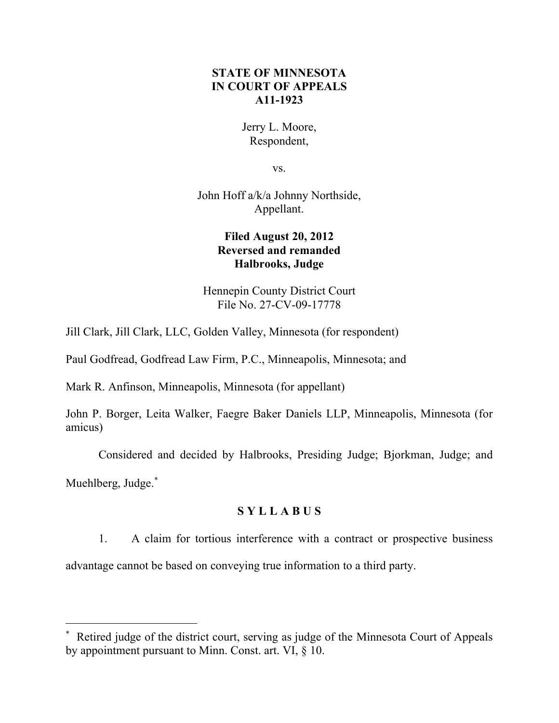# **STATE OF MINNESOTA IN COURT OF APPEALS A11-1923**

Jerry L. Moore, Respondent,

vs.

John Hoff a/k/a Johnny Northside, Appellant.

# **Filed August 20, 2012 Reversed and remanded Halbrooks, Judge**

Hennepin County District Court File No. 27-CV-09-17778

Jill Clark, Jill Clark, LLC, Golden Valley, Minnesota (for respondent)

Paul Godfread, Godfread Law Firm, P.C., Minneapolis, Minnesota; and

Mark R. Anfinson, Minneapolis, Minnesota (for appellant)

John P. Borger, Leita Walker, Faegre Baker Daniels LLP, Minneapolis, Minnesota (for amicus)

Considered and decided by Halbrooks, Presiding Judge; Bjorkman, Judge; and

Muehlberg, Judge.<sup>\*</sup>

 $\overline{a}$ 

# **S Y L L A B U S**

1. A claim for tortious interference with a contract or prospective business advantage cannot be based on conveying true information to a third party.

<span id="page-0-0"></span> Retired judge of the district court, serving as judge of the Minnesota Court of Appeals by appointment pursuant to Minn. Const. art. VI, § 10.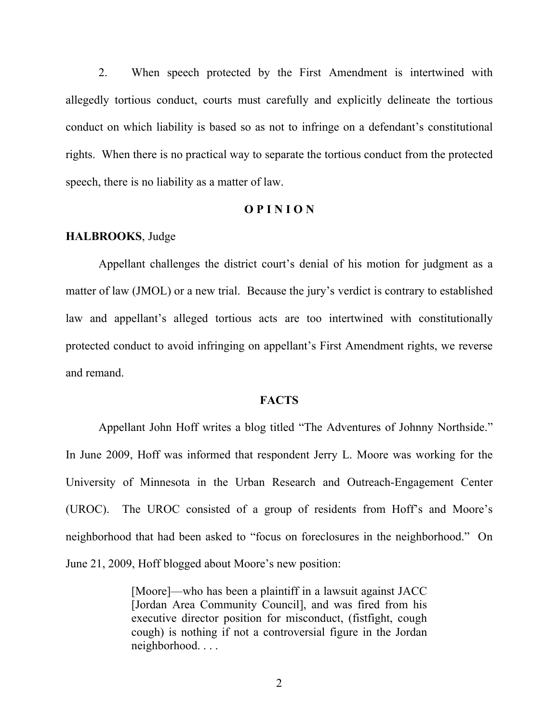2. When speech protected by the First Amendment is intertwined with allegedly tortious conduct, courts must carefully and explicitly delineate the tortious conduct on which liability is based so as not to infringe on a defendant's constitutional rights. When there is no practical way to separate the tortious conduct from the protected speech, there is no liability as a matter of law.

## **O P I N I O N**

## **HALBROOKS**, Judge

Appellant challenges the district court's denial of his motion for judgment as a matter of law (JMOL) or a new trial. Because the jury's verdict is contrary to established law and appellant's alleged tortious acts are too intertwined with constitutionally protected conduct to avoid infringing on appellant's First Amendment rights, we reverse and remand.

#### **FACTS**

Appellant John Hoff writes a blog titled "The Adventures of Johnny Northside." In June 2009, Hoff was informed that respondent Jerry L. Moore was working for the University of Minnesota in the Urban Research and Outreach-Engagement Center (UROC). The UROC consisted of a group of residents from Hoff's and Moore's neighborhood that had been asked to "focus on foreclosures in the neighborhood." On June 21, 2009, Hoff blogged about Moore's new position:

> [Moore]—who has been a plaintiff in a lawsuit against JACC [Jordan Area Community Council], and was fired from his executive director position for misconduct, (fistfight, cough cough) is nothing if not a controversial figure in the Jordan neighborhood. . . .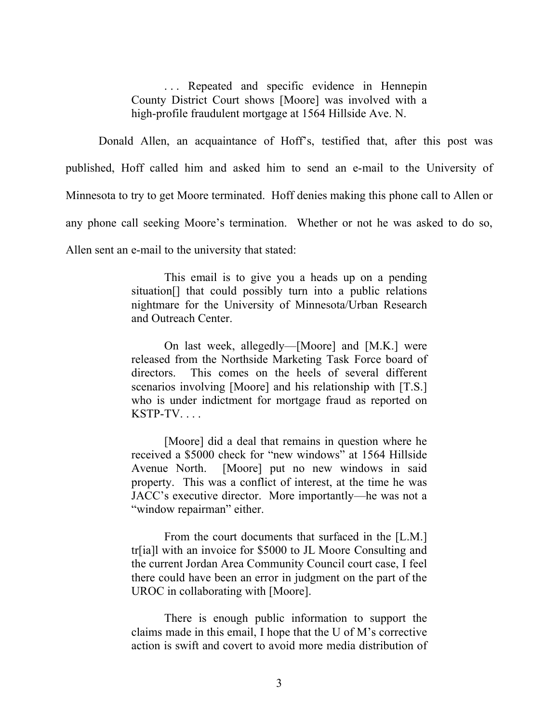. . . Repeated and specific evidence in Hennepin County District Court shows [Moore] was involved with a high-profile fraudulent mortgage at 1564 Hillside Ave. N.

Donald Allen, an acquaintance of Hoff's, testified that, after this post was published, Hoff called him and asked him to send an e-mail to the University of Minnesota to try to get Moore terminated. Hoff denies making this phone call to Allen or any phone call seeking Moore's termination. Whether or not he was asked to do so, Allen sent an e-mail to the university that stated:

> This email is to give you a heads up on a pending situation[] that could possibly turn into a public relations nightmare for the University of Minnesota/Urban Research and Outreach Center.

> On last week, allegedly—[Moore] and [M.K.] were released from the Northside Marketing Task Force board of directors. This comes on the heels of several different scenarios involving [Moore] and his relationship with [T.S.] who is under indictment for mortgage fraud as reported on  $KSTP-TV$ ....

> [Moore] did a deal that remains in question where he received a \$5000 check for "new windows" at 1564 Hillside Avenue North. [Moore] put no new windows in said property. This was a conflict of interest, at the time he was JACC's executive director. More importantly—he was not a "window repairman" either.

> From the court documents that surfaced in the [L.M.] tr[ia]l with an invoice for \$5000 to JL Moore Consulting and the current Jordan Area Community Council court case, I feel there could have been an error in judgment on the part of the UROC in collaborating with [Moore].

> There is enough public information to support the claims made in this email, I hope that the U of M's corrective action is swift and covert to avoid more media distribution of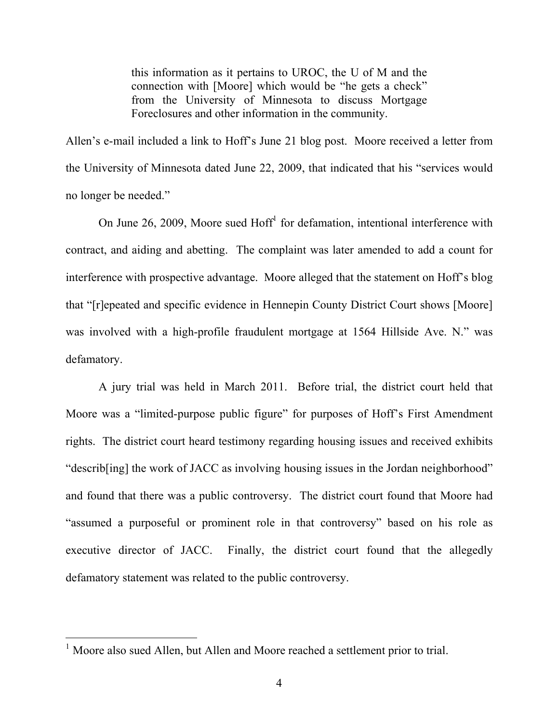this information as it pertains to UROC, the U of M and the connection with [Moore] which would be "he gets a check" from the University of Minnesota to discuss Mortgage Foreclosures and other information in the community.

Allen's e-mail included a link to Hoff's June 21 blog post. Moore received a letter from the University of Minnesota dated June 22, 2009, that indicated that his "services would no longer be needed."

On June 26, 2009, Moore sued Hoff<sup>[1](#page-3-0)</sup> for defamation, intentional interference with contract, and aiding and abetting. The complaint was later amended to add a count for interference with prospective advantage. Moore alleged that the statement on Hoff's blog that "[r]epeated and specific evidence in Hennepin County District Court shows [Moore] was involved with a high-profile fraudulent mortgage at 1564 Hillside Ave. N." was defamatory.

A jury trial was held in March 2011. Before trial, the district court held that Moore was a "limited-purpose public figure" for purposes of Hoff's First Amendment rights. The district court heard testimony regarding housing issues and received exhibits "describ[ing] the work of JACC as involving housing issues in the Jordan neighborhood" and found that there was a public controversy. The district court found that Moore had "assumed a purposeful or prominent role in that controversy" based on his role as executive director of JACC. Finally, the district court found that the allegedly defamatory statement was related to the public controversy.

<span id="page-3-0"></span> $1$  Moore also sued Allen, but Allen and Moore reached a settlement prior to trial.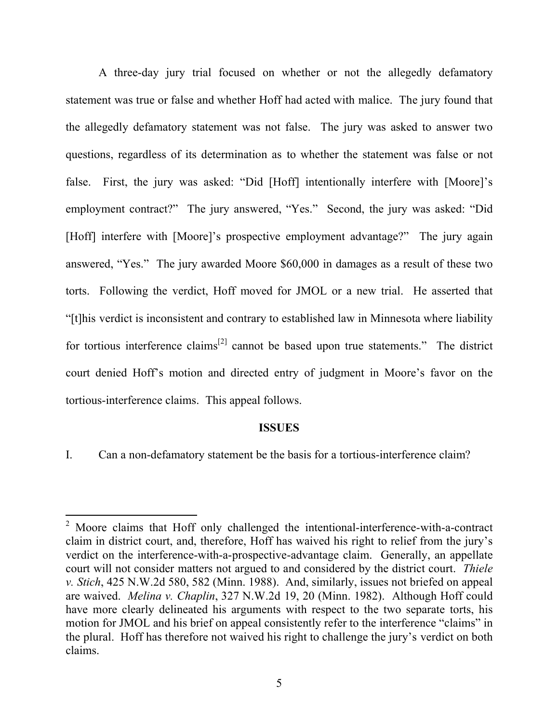A three-day jury trial focused on whether or not the allegedly defamatory statement was true or false and whether Hoff had acted with malice. The jury found that the allegedly defamatory statement was not false. The jury was asked to answer two questions, regardless of its determination as to whether the statement was false or not false. First, the jury was asked: "Did [Hoff] intentionally interfere with [Moore]'s employment contract?" The jury answered, "Yes." Second, the jury was asked: "Did [Hoff] interfere with [Moore]'s prospective employment advantage?" The jury again answered, "Yes." The jury awarded Moore \$60,000 in damages as a result of these two torts. Following the verdict, Hoff moved for JMOL or a new trial. He asserted that "[t]his verdict is inconsistent and contrary to established law in Minnesota where liability for tortious interference claims<sup>[[2](#page-4-0)]</sup> cannot be based upon true statements." The district court denied Hoff's motion and directed entry of judgment in Moore's favor on the tortious-interference claims. This appeal follows.

#### **ISSUES**

I. Can a non-defamatory statement be the basis for a tortious-interference claim?

 $\overline{a}$ 

<span id="page-4-0"></span> $2$  Moore claims that Hoff only challenged the intentional-interference-with-a-contract claim in district court, and, therefore, Hoff has waived his right to relief from the jury's verdict on the interference-with-a-prospective-advantage claim. Generally, an appellate court will not consider matters not argued to and considered by the district court. *Thiele v. Stich*, 425 N.W.2d 580, 582 (Minn. 1988). And, similarly, issues not briefed on appeal are waived. *Melina v. Chaplin*, 327 N.W.2d 19, 20 (Minn. 1982). Although Hoff could have more clearly delineated his arguments with respect to the two separate torts, his motion for JMOL and his brief on appeal consistently refer to the interference "claims" in the plural. Hoff has therefore not waived his right to challenge the jury's verdict on both claims.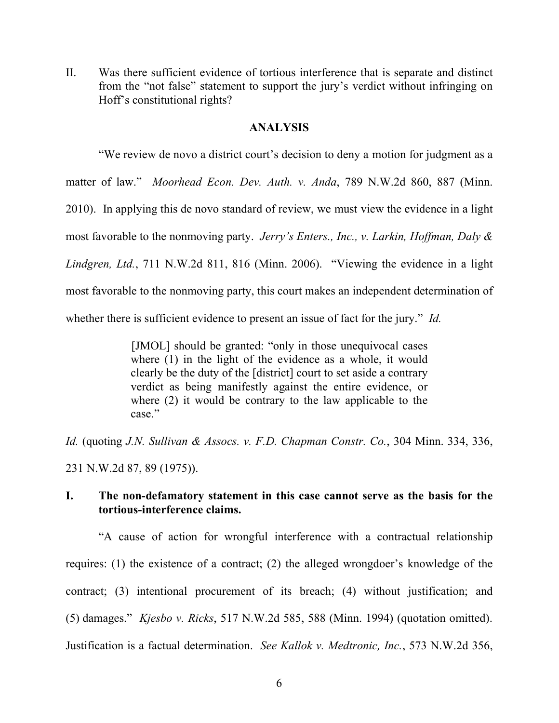II. Was there sufficient evidence of tortious interference that is separate and distinct from the "not false" statement to support the jury's verdict without infringing on Hoff's constitutional rights?

## **ANALYSIS**

"We review de novo a district court's decision to deny a motion for judgment as a matter of law." *Moorhead Econ. Dev. Auth. v. Anda*, 789 N.W.2d 860, 887 (Minn. 2010). In applying this de novo standard of review, we must view the evidence in a light most favorable to the nonmoving party. *Jerry's Enters., Inc., v. Larkin, Hoffman, Daly & Lindgren, Ltd.*, 711 N.W.2d 811, 816 (Minn. 2006). "Viewing the evidence in a light most favorable to the nonmoving party, this court makes an independent determination of whether there is sufficient evidence to present an issue of fact for the jury." *Id.*

> [JMOL] should be granted: "only in those unequivocal cases where (1) in the light of the evidence as a whole, it would clearly be the duty of the [district] court to set aside a contrary verdict as being manifestly against the entire evidence, or where (2) it would be contrary to the law applicable to the case."

*Id.* (quoting *J.N. Sullivan & Assocs. v. F.D. Chapman Constr. Co.*, 304 Minn. 334, 336,

231 N.W.2d 87, 89 (1975)).

## **I. The non-defamatory statement in this case cannot serve as the basis for the tortious-interference claims.**

"A cause of action for wrongful interference with a contractual relationship requires: (1) the existence of a contract; (2) the alleged wrongdoer's knowledge of the contract; (3) intentional procurement of its breach; (4) without justification; and (5) damages." *Kjesbo v. Ricks*, 517 N.W.2d 585, 588 (Minn. 1994) (quotation omitted). Justification is a factual determination. *See Kallok v. Medtronic, Inc.*, 573 N.W.2d 356,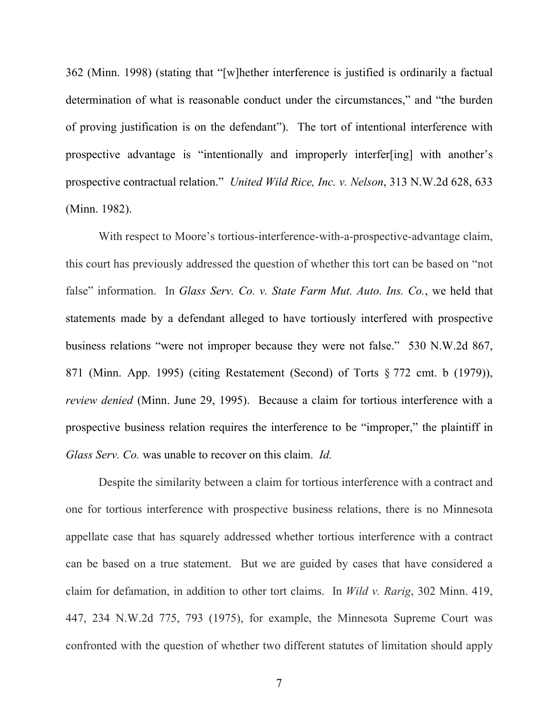362 (Minn. 1998) (stating that "[w]hether interference is justified is ordinarily a factual determination of what is reasonable conduct under the circumstances," and "the burden of proving justification is on the defendant"). The tort of intentional interference with prospective advantage is "intentionally and improperly interfer[ing] with another's prospective contractual relation." *United Wild Rice, Inc. v. Nelson*, 313 N.W.2d 628, 633 (Minn. 1982).

With respect to Moore's tortious-interference-with-a-prospective-advantage claim, this court has previously addressed the question of whether this tort can be based on "not false" information. In *Glass Serv. Co. v. State Farm Mut. Auto. Ins. Co.*, we held that statements made by a defendant alleged to have tortiously interfered with prospective business relations "were not improper because they were not false." 530 N.W.2d 867, 871 (Minn. App. 1995) (citing Restatement (Second) of Torts § 772 cmt. b (1979)), *review denied* (Minn. June 29, 1995). Because a claim for tortious interference with a prospective business relation requires the interference to be "improper," the plaintiff in *Glass Serv. Co.* was unable to recover on this claim. *Id.*

Despite the similarity between a claim for tortious interference with a contract and one for tortious interference with prospective business relations, there is no Minnesota appellate case that has squarely addressed whether tortious interference with a contract can be based on a true statement. But we are guided by cases that have considered a claim for defamation, in addition to other tort claims. In *Wild v. Rarig*, 302 Minn. 419, 447, 234 N.W.2d 775, 793 (1975), for example, the Minnesota Supreme Court was confronted with the question of whether two different statutes of limitation should apply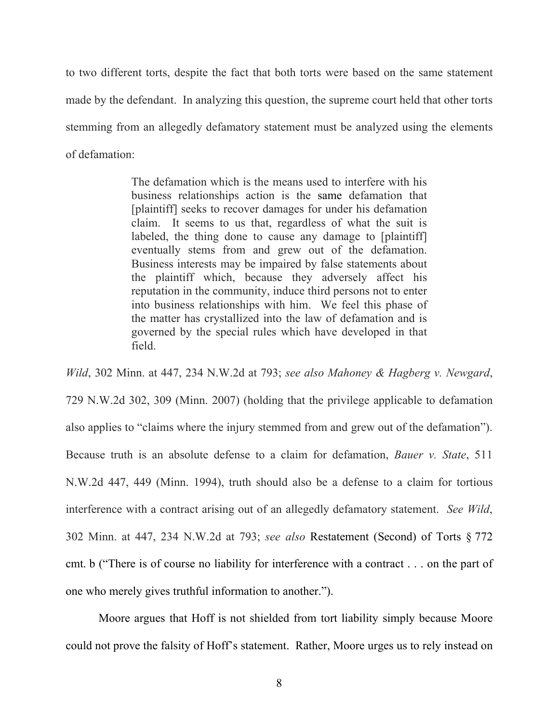to two different torts, despite the fact that both torts were based on the same statement made by the defendant. In analyzing this question, the supreme court held that other torts stemming from an allegedly defamatory statement must be analyzed using the elements of defamation:

> The defamation which is the means used to interfere with his business relationships action is the same defamation that [plaintiff] seeks to recover damages for under his defamation claim. It seems to us that, regardless of what the suit is labeled, the thing done to cause any damage to [plaintiff] eventually stems from and grew out of the defamation. Business interests may be impaired by false statements about the plaintiff which, because they adversely affect his reputation in the community, induce third persons not to enter into business relationships with him. We feel this phase of the matter has crystallized into the law of defamation and is governed by the special rules which have developed in that field.

*Wild*, 302 Minn. at 447, 234 N.W.2d at 793; *see also Mahoney & Hagberg v. Newgard*, 729 N.W.2d 302, 309 (Minn. 2007) (holding that the privilege applicable to defamation also applies to "claims where the injury stemmed from and grew out of the defamation"). Because truth is an absolute defense to a claim for defamation, *Bauer v. State*, 511 N.W.2d 447, 449 (Minn. 1994), truth should also be a defense to a claim for tortious interference with a contract arising out of an allegedly defamatory statement. *See Wild*, 302 Minn. at 447, 234 N.W.2d at 793; *see also* Restatement (Second) of Torts § 772 cmt. b ("There is of course no liability for interference with a contract . . . on the part of one who merely gives truthful information to another.").

Moore argues that Hoff is not shielded from tort liability simply because Moore could not prove the falsity of Hoff's statement. Rather, Moore urges us to rely instead on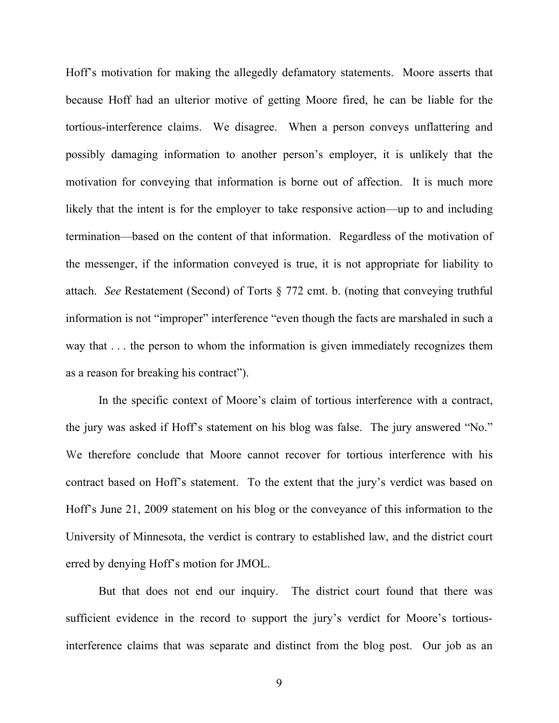Hoff's motivation for making the allegedly defamatory statements. Moore asserts that because Hoff had an ulterior motive of getting Moore fired, he can be liable for the tortious-interference claims. We disagree. When a person conveys unflattering and possibly damaging information to another person's employer, it is unlikely that the motivation for conveying that information is borne out of affection. It is much more likely that the intent is for the employer to take responsive action—up to and including termination—based on the content of that information. Regardless of the motivation of the messenger, if the information conveyed is true, it is not appropriate for liability to attach. *See* Restatement (Second) of Torts § 772 cmt. b. (noting that conveying truthful information is not "improper" interference "even though the facts are marshaled in such a way that . . . the person to whom the information is given immediately recognizes them as a reason for breaking his contract").

In the specific context of Moore's claim of tortious interference with a contract, the jury was asked if Hoff's statement on his blog was false. The jury answered "No." We therefore conclude that Moore cannot recover for tortious interference with his contract based on Hoff's statement. To the extent that the jury's verdict was based on Hoff's June 21, 2009 statement on his blog or the conveyance of this information to the University of Minnesota, the verdict is contrary to established law, and the district court erred by denying Hoff's motion for JMOL.

But that does not end our inquiry. The district court found that there was sufficient evidence in the record to support the jury's verdict for Moore's tortiousinterference claims that was separate and distinct from the blog post. Our job as an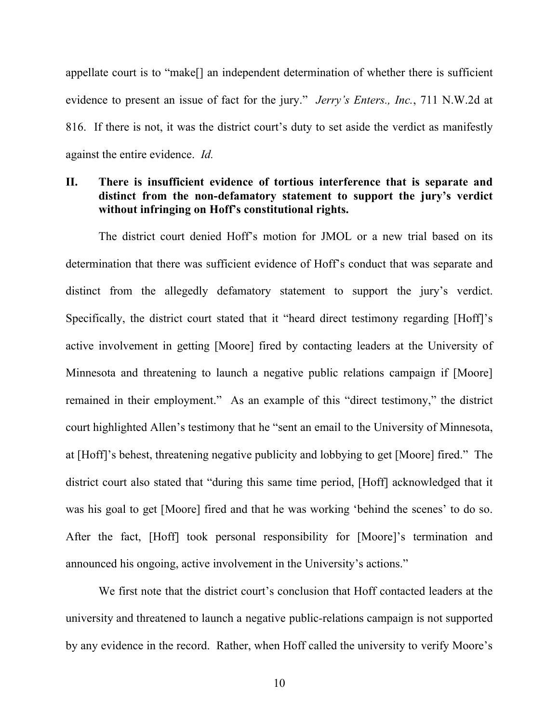appellate court is to "make[] an independent determination of whether there is sufficient evidence to present an issue of fact for the jury." *Jerry's Enters., Inc.*, 711 N.W.2d at 816. If there is not, it was the district court's duty to set aside the verdict as manifestly against the entire evidence. *Id.*

# **II. There is insufficient evidence of tortious interference that is separate and distinct from the non-defamatory statement to support the jury's verdict without infringing on Hoff's constitutional rights.**

The district court denied Hoff's motion for JMOL or a new trial based on its determination that there was sufficient evidence of Hoff's conduct that was separate and distinct from the allegedly defamatory statement to support the jury's verdict. Specifically, the district court stated that it "heard direct testimony regarding [Hoff]'s active involvement in getting [Moore] fired by contacting leaders at the University of Minnesota and threatening to launch a negative public relations campaign if [Moore] remained in their employment." As an example of this "direct testimony," the district court highlighted Allen's testimony that he "sent an email to the University of Minnesota, at [Hoff]'s behest, threatening negative publicity and lobbying to get [Moore] fired." The district court also stated that "during this same time period, [Hoff] acknowledged that it was his goal to get [Moore] fired and that he was working 'behind the scenes' to do so. After the fact, [Hoff] took personal responsibility for [Moore]'s termination and announced his ongoing, active involvement in the University's actions."

We first note that the district court's conclusion that Hoff contacted leaders at the university and threatened to launch a negative public-relations campaign is not supported by any evidence in the record. Rather, when Hoff called the university to verify Moore's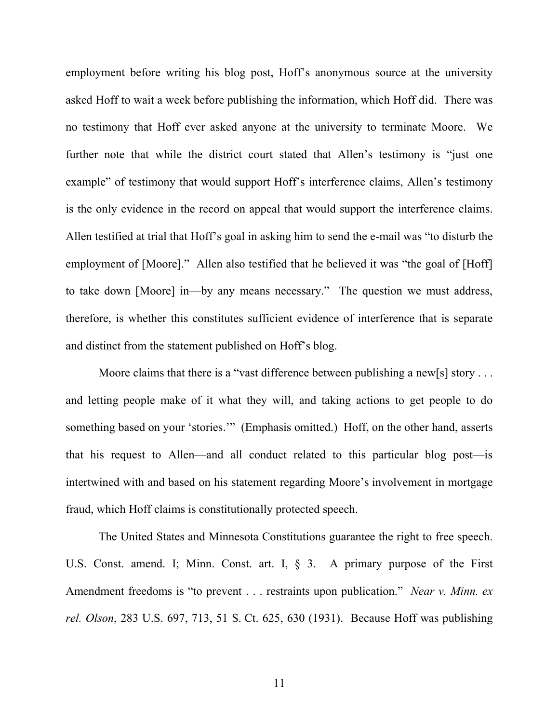employment before writing his blog post, Hoff's anonymous source at the university asked Hoff to wait a week before publishing the information, which Hoff did. There was no testimony that Hoff ever asked anyone at the university to terminate Moore. We further note that while the district court stated that Allen's testimony is "just one example" of testimony that would support Hoff's interference claims, Allen's testimony is the only evidence in the record on appeal that would support the interference claims. Allen testified at trial that Hoff's goal in asking him to send the e-mail was "to disturb the employment of [Moore]." Allen also testified that he believed it was "the goal of [Hoff] to take down [Moore] in—by any means necessary." The question we must address, therefore, is whether this constitutes sufficient evidence of interference that is separate and distinct from the statement published on Hoff's blog.

Moore claims that there is a "vast difference between publishing a new[s] story . . . and letting people make of it what they will, and taking actions to get people to do something based on your 'stories.'" (Emphasis omitted.) Hoff, on the other hand, asserts that his request to Allen—and all conduct related to this particular blog post—is intertwined with and based on his statement regarding Moore's involvement in mortgage fraud, which Hoff claims is constitutionally protected speech.

The United States and Minnesota Constitutions guarantee the right to free speech. U.S. Const. amend. I; Minn. Const. art. I, § 3. A primary purpose of the First Amendment freedoms is "to prevent . . . restraints upon publication." *Near v. Minn. ex rel. Olson*, 283 U.S. 697, 713, 51 S. Ct. 625, 630 (1931). Because Hoff was publishing

11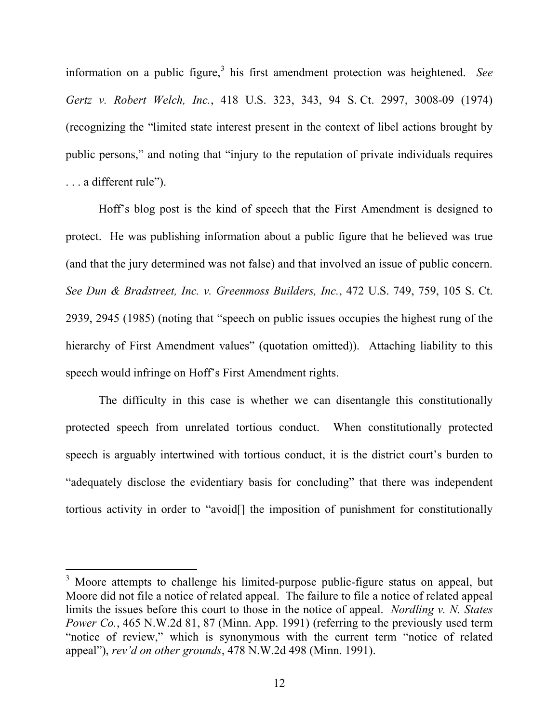information on a public figure,<sup>[3](#page-11-0)</sup> his first amendment protection was heightened. See *Gertz v. Robert Welch, Inc.*, 418 U.S. 323, 343, 94 S. Ct. 2997, 3008-09 (1974) (recognizing the "limited state interest present in the context of libel actions brought by public persons," and noting that "injury to the reputation of private individuals requires . . . a different rule").

Hoff's blog post is the kind of speech that the First Amendment is designed to protect. He was publishing information about a public figure that he believed was true (and that the jury determined was not false) and that involved an issue of public concern. *See Dun & Bradstreet, Inc. v. Greenmoss Builders, Inc.*, 472 U.S. 749, 759, 105 S. Ct. 2939, 2945 (1985) (noting that "speech on public issues occupies the highest rung of the hierarchy of First Amendment values" (quotation omitted)). Attaching liability to this speech would infringe on Hoff's First Amendment rights.

The difficulty in this case is whether we can disentangle this constitutionally protected speech from unrelated tortious conduct. When constitutionally protected speech is arguably intertwined with tortious conduct, it is the district court's burden to "adequately disclose the evidentiary basis for concluding" that there was independent tortious activity in order to "avoid[] the imposition of punishment for constitutionally

<span id="page-11-0"></span> $3$  Moore attempts to challenge his limited-purpose public-figure status on appeal, but Moore did not file a notice of related appeal. The failure to file a notice of related appeal limits the issues before this court to those in the notice of appeal. *Nordling v. N. States Power Co.*, 465 N.W.2d 81, 87 (Minn. App. 1991) (referring to the previously used term "notice of review," which is synonymous with the current term "notice of related appeal"), *rev'd on other grounds*, 478 N.W.2d 498 (Minn. 1991).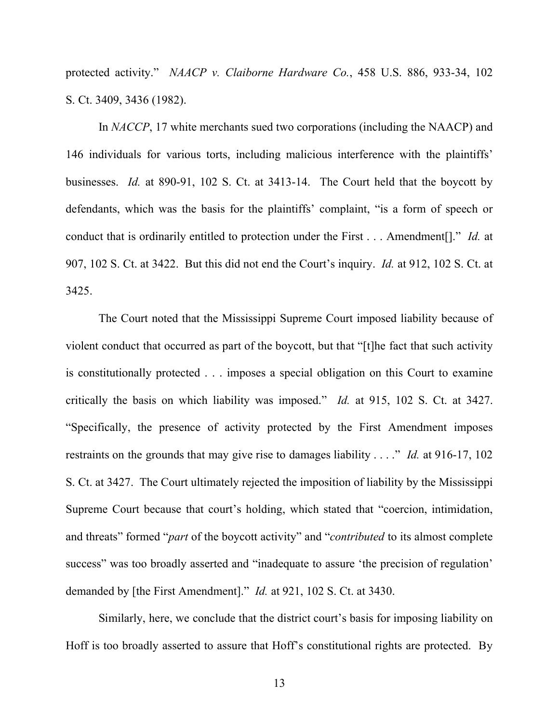protected activity." *NAACP v. Claiborne Hardware Co.*, 458 U.S. 886, 933-34, 102 S. Ct. 3409, 3436 (1982).

In *NACCP*, 17 white merchants sued two corporations (including the NAACP) and 146 individuals for various torts, including malicious interference with the plaintiffs' businesses. *Id.* at 890-91, 102 S. Ct. at 3413-14. The Court held that the boycott by defendants, which was the basis for the plaintiffs' complaint, "is a form of speech or conduct that is ordinarily entitled to protection under the First . . . Amendment[]." *Id.* at 907, 102 S. Ct. at 3422. But this did not end the Court's inquiry. *Id.* at 912, 102 S. Ct. at 3425.

The Court noted that the Mississippi Supreme Court imposed liability because of violent conduct that occurred as part of the boycott, but that "[t]he fact that such activity is constitutionally protected . . . imposes a special obligation on this Court to examine critically the basis on which liability was imposed." *Id.* at 915, 102 S. Ct. at 3427. "Specifically, the presence of activity protected by the First Amendment imposes restraints on the grounds that may give rise to damages liability . . . ." *Id.* at 916-17, 102 S. Ct. at 3427. The Court ultimately rejected the imposition of liability by the Mississippi Supreme Court because that court's holding, which stated that "coercion, intimidation, and threats" formed "*part* of the boycott activity" and "*contributed* to its almost complete success" was too broadly asserted and "inadequate to assure 'the precision of regulation' demanded by [the First Amendment]." *Id.* at 921, 102 S. Ct. at 3430.

Similarly, here, we conclude that the district court's basis for imposing liability on Hoff is too broadly asserted to assure that Hoff's constitutional rights are protected. By